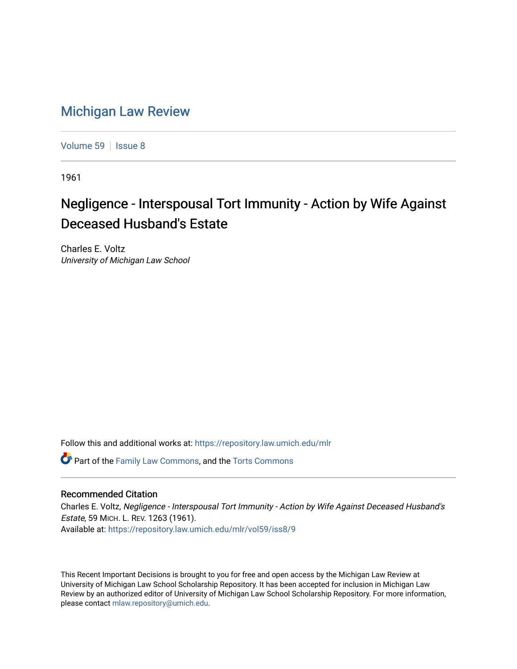## [Michigan Law Review](https://repository.law.umich.edu/mlr)

[Volume 59](https://repository.law.umich.edu/mlr/vol59) | [Issue 8](https://repository.law.umich.edu/mlr/vol59/iss8)

1961

## Negligence - Interspousal Tort Immunity - Action by Wife Against Deceased Husband's Estate

Charles E. Voltz University of Michigan Law School

Follow this and additional works at: [https://repository.law.umich.edu/mlr](https://repository.law.umich.edu/mlr?utm_source=repository.law.umich.edu%2Fmlr%2Fvol59%2Fiss8%2F9&utm_medium=PDF&utm_campaign=PDFCoverPages) 

Part of the [Family Law Commons,](http://network.bepress.com/hgg/discipline/602?utm_source=repository.law.umich.edu%2Fmlr%2Fvol59%2Fiss8%2F9&utm_medium=PDF&utm_campaign=PDFCoverPages) and the [Torts Commons](http://network.bepress.com/hgg/discipline/913?utm_source=repository.law.umich.edu%2Fmlr%2Fvol59%2Fiss8%2F9&utm_medium=PDF&utm_campaign=PDFCoverPages) 

## Recommended Citation

Charles E. Voltz, Negligence - Interspousal Tort Immunity - Action by Wife Against Deceased Husband's Estate, 59 MICH. L. REV. 1263 (1961). Available at: [https://repository.law.umich.edu/mlr/vol59/iss8/9](https://repository.law.umich.edu/mlr/vol59/iss8/9?utm_source=repository.law.umich.edu%2Fmlr%2Fvol59%2Fiss8%2F9&utm_medium=PDF&utm_campaign=PDFCoverPages)

This Recent Important Decisions is brought to you for free and open access by the Michigan Law Review at University of Michigan Law School Scholarship Repository. It has been accepted for inclusion in Michigan Law Review by an authorized editor of University of Michigan Law School Scholarship Repository. For more information, please contact [mlaw.repository@umich.edu.](mailto:mlaw.repository@umich.edu)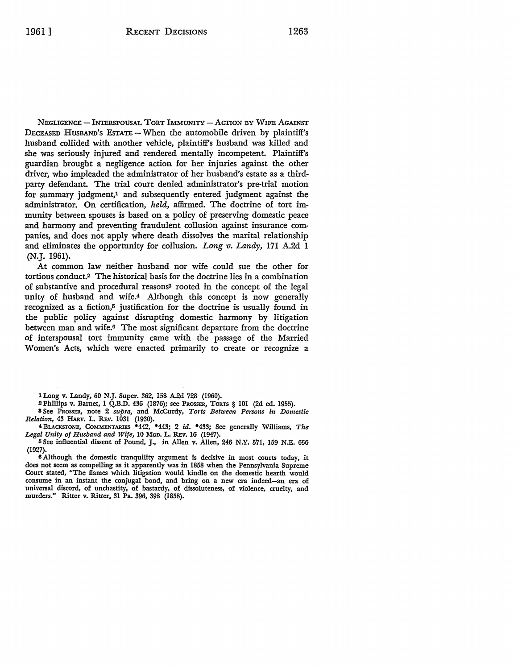NEGLIGENCE - INTERSPOUSAL TORT IMMUNITY - ACTION BY WIFE AGAINST DECEASED HUSBAND'S ESTATE - When the automobile driven by plaintiff's husband collided with another vehicle, plaintiff's husband was killed and she was seriously injured and rendered mentally incompetent. Plaintiff's guardian brought a negligence action for her injuries against the other driver, who impleaded the administrator of her husband's estate as a thirdparty defendant. The trial court denied administrator's pre-trial motion for summary judgment,1 and subsequently entered judgment against the administrator. On certification, *held,* affirmed. The doctrine of tort immunity between spouses is based on a policy of preserving domestic peace and harmony and preventing fraudulent collusion against insurance companies, and does not apply where death dissolves the marital relationship and eliminates the opportunity for collusion. *Long v. Landy,* 171 A.2d 1 (N.J. 1961).

At common law neither husband nor wife could sue the other for tortious conduct.2 The historical basis for the doctrine lies in a combination of substantive and procedural reasons<sup>3</sup> rooted in the concept of the legal unity of husband and wife.4 Although this concept is now generally recognized as a fiction,<sup>5</sup> justification for the doctrine is usually found in the public policy against disrupting domestic harmony by litigation between man and wife.6 The most significant departure from the doctrine of interspousal tort immunity came with the passage of the Married Women's Acts, which were enacted primarily to create or recognize a

1Long v. Landy, 60 N.J. Super. 362, 158 A.2d 728 (1960).

2 Phillips v. Barnet, 1 Q.B.D. 436 (1876); see Prosser, Toars § 101 (2d ed. 1955).

<sup>8</sup>See PROSSER, note 2 *supra,* and McCurdy, *Torts Between Persons in Domestic Relation,* 48 HARV, L. REv. 1031 (1930).

4 BLACKSTONE, COMMENTARIES •442, •448; 2 id. •483; See generally Williams, *The Legal Unity of Husband and Wife,* IO Mon. L. REv. 16 (1947).

<sup>5</sup> See influential dissent of Pound, J., in Allen v. Allen, 246 N.Y. 571, 159 N.E. 656  $(1927)$ 

o Although the domestic tranquility argument is decisive in most courts today, it does not seem as compelling as it apparently was in 1858 when the Pennsylvania Supreme Court stated, "The flames which litigation would kindle on the domestic hearth would consume in an instant the conjugal bond, and bring on a new era indeed-an era of universal discord, of unchastity, of bastardy, of dissoluteness, of violence, cruelty, and murders." Ritter v. Ritter, 31 Pa. 396, 398 (1858).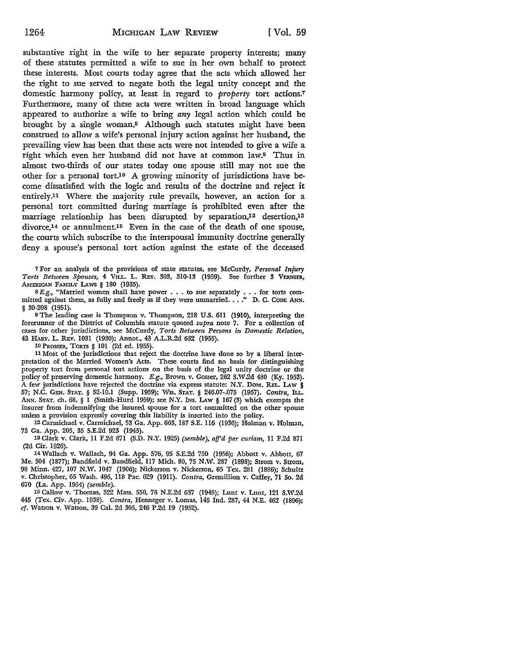substantive right in the wife to her separate property interests; many of these statutes permitted a wife to sue in her own behalf to protect these interests. Most courts today agree that the acts which allowed her the right to sue served to negate both the legal unity concept and the domestic harmony policy, at least in regard to *property* tort actions.<sup>7</sup> Furthermore, many of these acts were written in broad language which appeared to authorize a wife to bring *any* legal action which could be brought by a single woman.8 Although such statutes might have been construed to allow a wife's personal injury action against her husband, the prevailing view has been that these acts were not intended to give a wife a right which even her husband did not have at common law.<sup>9</sup> Thus in almost two-thirds of our states today one spouse still may not sue the other for a personal tort.10 A growing minority of jurisdictions have become dissatisfied with the logic and results of the doctrine and reject it entirely.11 Where the majority rule prevails, however, an action for a personal tort committed during marriage is prohibited even after the marriage relationhip has been disrupted by separation,12 desertion,13 divorce,<sup>14</sup> or annulment.<sup>15</sup> Even in the case of the death of one spouse, the courts which subscribe to the interspousal immunity doctrine generally deny a spouse's personal tort action against the estate of the deceased

7 For an analysis of the provisions of state statutes, see McCurdy, *Personal Injury Torts Between Spouses,* 4 VILL. L. REv. 303, 310-13 (1959). See further 3 VERNIER, AMERICAN FAMILY LAws § 180 (1935).

8 E.g., "Married women shall have power . . . to sue separately . . . for torts committed against them, as fully and freely as if they were unmarried. . . . " D. C. CODE ANN. § 30-208 (1951).

9The leading case is Thompson v. Thompson, 218 U.S. 611 (1910), interpreting the forerunner of the District of Columbia statute quoted *supra* note 7. For a collection of cases for other jurisdictions, see McCurdy, *Torts Between Persons in Domestic Relation,*  43 HARv. L. REv. 1031 (1930); Annot., 43 A.L.R.2d 632 (1955).

10 PROSSER, TORTS § 101 (2d ed. 1955).

11 Most of the jurisdictions that reject the doctrine have done so by a liberal interpretation of the Married Women's Acts. These courts find no basis for distinguishing property tort from personal tort actions on the basis of the legal unity doctrine or the policy of preserving domestic harmony. E.g., Brown v. Gosser, 262 S.W.2d 480 **(Ky.** 1953). A few jurisdictions have rejected the doctrine via express statute: N.Y. DoM. REL. I.Aw § 57; N.C. GEN. STAT. § 52-10.1 (Supp. 1959); Wrs. STAT. § 246.07-.075 (1957). *Contra,* ILL. ANN. STAT. ch. 68, § 1 (Smith-Hurd 1959); see N.Y. INS. LAW § 167 (3) which exempts the insurer from indemnifying the insured spouse for a tort committed on the other spouse unless a provision expressly covering this liability is inserted into the policy.

12 Carmichael v. Carmichael, 53 Ga. App. 663, 187 S.E. 116 (1936); Holman v. Holman, 73 Ga. App. 205, 35 S.E.2d 923 (1945).

13 Clark v. Clark, 11 F.2d 871 (S.D. N.Y. 1925) *(semble), a[J'd per curiam,* 11 F.2d 871 (2d Cir. 1926).

14 Wallach v. Wallach, 94 Ga. App. 576, 95 S.E.2d 750 (1956); Abbott v. Abbott, 67 Me. 304 (1877); Bandfield v. Bandfield, 117 Mich. 80, 75 N.W. 287 (1898); Strom v. Strom, 98 Minn. 427, 107 N.W. 1047 (1906); Nickerson v. Nickerson, 65 Tex. 281 (1886); Schultz v. Christopher, 65 Wash. 496, 118 Pac. 629 (1911). *Contra,* Gremillion v. Caffey, 71 So. 2d 670 (La. App. 1954) *(semble).* 

15 Callow v. Thomas, 322 Mass. 550, 78 N.E.2d 637 (1948); Lunt v. Lunt, 121 S.W.2d 445 (Tex. Civ. App. 1938). *Contra,* Henneger v. Lomas, 145 Ind. 287, 44 N.E. 462 (1896); cf. Watson v. Watson, 39 Cal. 2d 305, 246 P.2d 19 (1952).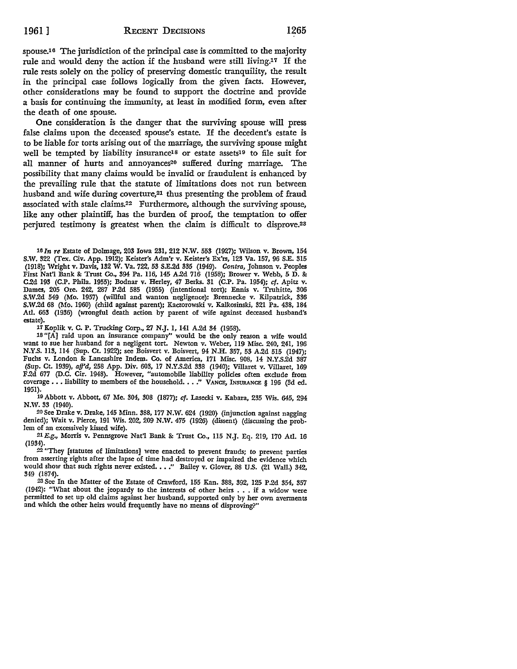spouse.10 The jurisdiction of the principal case is committed to the majority rule and would deny the action if the husband were still living.17 If the rule rests solely on the policy of preserving domestic tranquility, the result in the principal case follows logically from the given facts. However, other considerations may be found to support the doctrine and provide a basis for continuing the immunity, at least in modified form, even after the death of one spouse.

One consideration is the danger that the surviving spouse will press false claims upon the deceased spouse's estate. If the decedent's estate is to be liable for torts arising out of the marriage, the surviving spouse might well be tempted by liability insurance<sup>18</sup> or estate assets<sup>19</sup> to file suit for all manner of hurts and annoyances<sup>20</sup> suffered during marriage. The possibility that many claims would be invalid or fraudulent is enhanced by the prevailing rule that the statute of limitations does not run between husband and wife during coverture,<sup>21</sup> thus presenting the problem of fraud associated with stale claims.22 Furthermore, although the surviving spouse, like any other plaintiff, has the burden of proof, the temptation to offer perjured testimony is greatest when the claim is difficult to disprove.2s

16 *In re* Estate of Dolmage, 203 Iowa 231, 212 N.W. 553 (1927); Wilson v. Brown, 154 S.W. 322 (Tex. Civ. App. 1912); Keister's Adm'r v. Keister•s Ex'rs, 123 Va. 157, 96 S.E. 315 (1918); Wright v. Davis, 132 W. Va. 722, 53 S.E.2d 335 (1949). *Contra,* Johnson v. Peoples First Nat'! Bank &: Trust Co., 394 Pa. 116, 145 A.2d 716 (1958); Brower v. Webb, 5 D. & C.2d 193 (C.P. Phila. 1955); Bodnar v. Herley, 47 Berks. 31 (C.P. Pa. 1954); cf. Apitz v. Dames, 205 Ore. 242, 287 P .2d 585 (1955) (intentional tort); Ennis v. Truhitte, 306 S.W.2d 549 (Mo. 1957) (willful and wanton negligence): Brennecke v. Kilpatrick, 336 S.W.2d 68 (Mo. 1960) (child against parent); Kaczorowski v. Kalkosinski, 321 Pa. 438, 184 Atl. 663 (1936) (wrongful death action by parent of wife against deceased husband's estate)

17 Koplik v. C. P. Trucking Corp., 27 N.J. 1, 141 A.2d 34 (1958).

18 "[A] raid upon an insurance company" would be the only reason a wife would want to sue her husband for a negligent tort. Newton v. Weber, 119 Misc. 240, 241, 196 N.Y.S. 113, 114 (Sup. Ct. 1922); see Boisvert v. Boisvert, 94 N.H. 357, 53 A.2d 515 (1947); Fuchs v. London & Lancashire Indem. Co. of America, 171 Misc. 908, 14 N.Y.S.2d 387 (Sup. Ct. 1939), afj'd, 258 App. Div. 603, 17 N.Y.S.2d 338 (1940); Villaret v. Villaret, 169 F.2d 677 (D.C. Cir. 1948). However, "automobile liability policies often exclude from coverage  $\ldots$  liability to members of the household.  $\ldots$  " VANCE, INSURANCE § 196 (3d ed. 1951).

19 Abbott v. Abbott, 67 Me. 304, 308 (1877); cf. Lasecki v. Kabara, 235 Wis. 645, 294 N.W. 33 (1940).

20 See Drake v. Drake, 145 Minn. 388, 177 N.W. 624 (1920) (injunction against nagging denied); Wait v. Pierce, 191 Wis. 202, 209 N.W. 475 (1926) (dissent) (discussing the problem of an excessively kissed wife).

21 E.g., Morris v. Pennsgrove Nat'l Bank & Trust Co., 115 N.J. Eq. 219, 170 Atl. 16 (1934).

22 "They [statutes of limitations] were enacted to prevent frauds; to prevent parties from asserting rights after the lapse of time had destroyed or impaired the evidence which from asserting rights after the lapse of time had destroyed or impaired the evidence which would show that such rights never existed. . . ." Bailey v. Glover, 88 U.S. (21 Wall.) 342, 349 (1874).

23 See In the Matter of the Estate of Crawford, 155 Kan. 388, 392, 125 P.2d 354, 357 (1942): "What about the jeopardy to the interests of other heirs . . . if a widow were permitted to set up old claims against her husband, supported only by her own averments and which the other heirs would frequently have no means of disproving?"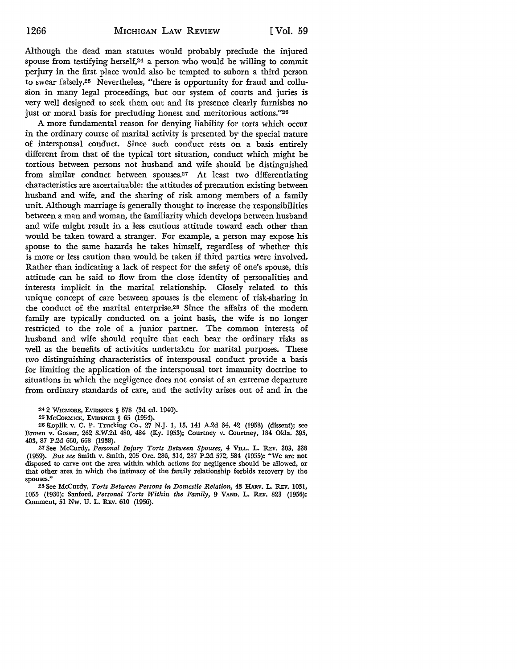Although the dead man statutes would probably preclude the injured spouse from testifying herself,24 a person who would be willing to commit perjury in the first place would also be tempted to suborn a third person to swear falsely.25 Nevertheless, "there is opportunity for fraud and collusion in many legal proceedings, but our system of courts and juries is very well designed to seek them out and its presence clearly furnishes no just or moral basis for precluding honest and meritorious actions."26

A more fundamental reason for denying liability for torts which occur in the ordinary course of marital activity is presented by the special nature of interspousal conduct. Since such conduct rests on a basis entirely different from that of the typical tort situation, conduct which might be tortious between persons not husband and wife should be distinguished from similar conduct between spouses.27 At least two differentiating characteristics are ascertainable: the attitudes of precaution existing between husband and wife, and the sharing of risk among members of a family unit. Although marriage is generally thought to increase the responsibilities between a man and woman, the familiarity which develops between husband and wife might result in a less cautious attitude toward each other than would be taken toward a stranger. For example, a person may expose his spouse to the same hazards he takes himself, regardless of whether this is more or less caution than would be taken if third parties were involved. Rather than indicating a lack of respect for the safety of one's spouse, this attitude can be said to flow from the close identity of personalities and interests implicit in the marital relationship. Closely related to this unique concept of care between spouses is the element of risk-sharing in the conduct of the marital enterprise.28 Since the affairs of the modem family are typically conducted on a joint basis, the wife is no longer restricted to the role of a junior partner. The common interests of husband and wife should require that each bear the ordinary risks as well as the benefits of activities undertaken for marital purposes. These two distinguishing characteristics of interspousal conduct provide a basis for limiting the application of the interspousal tort immunity doctrine to situations in which the negligence does not consist of an extreme departure from ordinary standards of care, and the activity arises out of and in the

25 McCORMICK, EVIDENCE § 65 (1954).

26 Koplik. v. C. P. Trucking Co., 27 N.J. 1, 15, 141 A.2d 34, 42 (1958) (dissent); see Brown v. Gosser, 262 S.W.2d 480, 484 (Ky. 1953); Courtney v. Courtney, 184 Okla. 395, 403, 87 P.2d 660, 668 (1938).

27 See McCurdy, *Personal Injury Torts Between Spouses,* 4 VILL. L. REv. 303, 338 (1959). *But see* Smith v. Smith, 205 Ore. 286, 314, 287 P.2d 572, 584 (1955): "We are not disposed to carve out the area within which actions for negligence should be allowed, or that other area in which the intimacy of the family relationship forbids recovery by the spouses."

28 See McCurdy, *Torts Between Persons in Domestic Relation,* 43 HARv. L. REv. 1031, 1055 (1930); Sanford, *Personal Torts Within the Family,* 9 VAND. L. REv. 823 (1956); Comment, 51 Nw. U. L. REv. 610 (1956).

<sup>24</sup> 2 WIGMORE, EVIDENCE § 578 (3d ed. 1940).